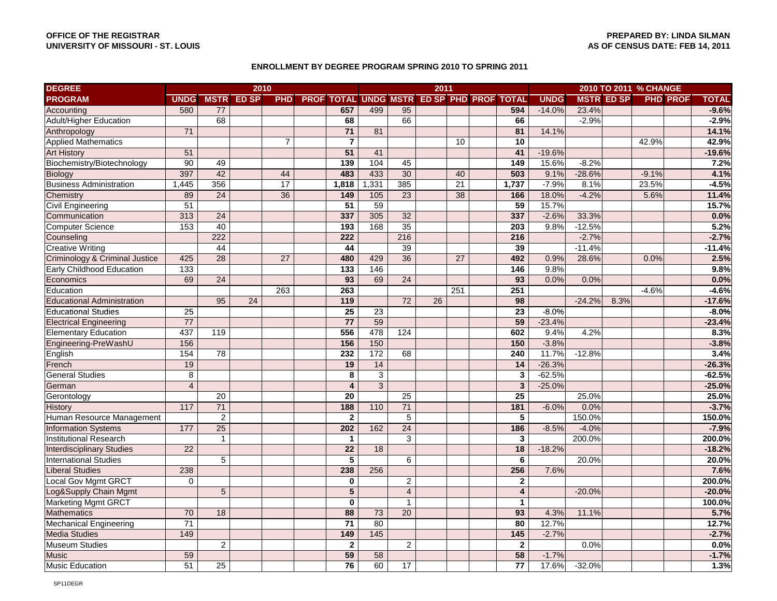## **ENROLLMENT BY DEGREE PROGRAM SPRING 2010 TO SPRING 2011**

| <b>DEGREE</b>                     | 2010             |                  |                        |                 |  |                         |                 | 2011            |    |                 |                                               |             |          | 2010 TO 2011 % CHANGE |         |                 |              |
|-----------------------------------|------------------|------------------|------------------------|-----------------|--|-------------------------|-----------------|-----------------|----|-----------------|-----------------------------------------------|-------------|----------|-----------------------|---------|-----------------|--------------|
| <b>PROGRAM</b>                    |                  |                  | <b>UNDG MSTR ED SP</b> |                 |  |                         |                 |                 |    |                 | PHD PROF TOTAL UNDG MSTR ED SP PHD PROF TOTAL | <b>UNDG</b> |          | <b>MSTR ED SP</b>     |         | <b>PHD PROF</b> | <b>TOTAL</b> |
| Accounting                        | 580              | 77               |                        |                 |  | 657                     | 499             | 95              |    |                 | 594                                           | $-14.0%$    | 23.4%    |                       |         |                 | $-9.6%$      |
| <b>Adult/Higher Education</b>     |                  | $\overline{68}$  |                        |                 |  | 68                      |                 | 66              |    |                 | 66                                            |             | $-2.9%$  |                       |         |                 | $-2.9%$      |
| Anthropology                      | 71               |                  |                        |                 |  | 71                      | 81              |                 |    |                 | 81                                            | 14.1%       |          |                       |         |                 | 14.1%        |
| <b>Applied Mathematics</b>        |                  |                  |                        | $\overline{7}$  |  | $\overline{\mathbf{7}}$ |                 |                 |    | $\overline{10}$ | 10                                            |             |          |                       | 42.9%   |                 | 42.9%        |
| <b>Art History</b>                | 51               |                  |                        |                 |  | 51                      | 41              |                 |    |                 | 41                                            | $-19.6%$    |          |                       |         |                 | $-19.6%$     |
| Biochemistry/Biotechnology        | 90               | 49               |                        |                 |  | $\frac{1}{139}$         | 104             | 45              |    |                 | 149                                           | 15.6%       | $-8.2%$  |                       |         |                 | 7.2%         |
| <b>Biology</b>                    | 397              | 42               |                        | 44              |  | 483                     | 433             | 30              |    | 40              | 503                                           | 9.1%        | $-28.6%$ |                       | $-9.1%$ |                 | 4.1%         |
| <b>Business Administration</b>    | 1,445            | 356              |                        | $\overline{17}$ |  | 1,818                   | 1,331           | 385             |    | $\overline{21}$ | 1,737                                         | $-7.9%$     | 8.1%     |                       | 23.5%   |                 | $-4.5%$      |
| Chemistry                         | 89               | 24               |                        | 36              |  | 149                     | 105             | 23              |    | 38              | 166                                           | 18.0%       | $-4.2%$  |                       | 5.6%    |                 | 11.4%        |
| <b>Civil Engineering</b>          | 51               |                  |                        |                 |  | 51                      | 59              |                 |    |                 | 59                                            | 15.7%       |          |                       |         |                 | 15.7%        |
| Communication                     | 313              | $\overline{24}$  |                        |                 |  | 337                     | 305             | $\overline{32}$ |    |                 | 337                                           | $-2.6%$     | 33.3%    |                       |         |                 | 0.0%         |
| <b>Computer Science</b>           | 153              | 40               |                        |                 |  | 193                     | 168             | $\overline{35}$ |    |                 | 203                                           | 9.8%        | $-12.5%$ |                       |         |                 | 5.2%         |
| Counseling                        |                  | $\overline{222}$ |                        |                 |  | 222                     |                 | 216             |    |                 | 216                                           |             | $-2.7%$  |                       |         |                 | $-2.7%$      |
| <b>Creative Writing</b>           |                  | 44               |                        |                 |  | 44                      |                 | 39              |    |                 | 39                                            |             | $-11.4%$ |                       |         |                 | $-11.4%$     |
| Criminology & Criminal Justice    | 425              | 28               |                        | 27              |  | 480                     | 429             | 36              |    | 27              | 492                                           | 0.9%        | 28.6%    |                       | 0.0%    |                 | 2.5%         |
| Early Childhood Education         | $\overline{133}$ |                  |                        |                 |  | $\frac{1}{33}$          | 146             |                 |    |                 | $\frac{1}{146}$                               | 9.8%        |          |                       |         |                 | 9.8%         |
| Economics                         | 69               | 24               |                        |                 |  | 93                      | 69              | 24              |    |                 | 93                                            | 0.0%        | 0.0%     |                       |         |                 | 0.0%         |
| Education                         |                  |                  |                        | 263             |  | 263                     |                 |                 |    | 251             | 251                                           |             |          |                       | $-4.6%$ |                 | $-4.6%$      |
| <b>Educational Administration</b> |                  | 95               | 24                     |                 |  | 119                     |                 | 72              | 26 |                 | 98                                            |             | $-24.2%$ | 8.3%                  |         |                 | $-17.6%$     |
| <b>Educational Studies</b>        | $\overline{25}$  |                  |                        |                 |  | $\overline{25}$         | $\overline{23}$ |                 |    |                 | $\overline{23}$                               | $-8.0%$     |          |                       |         |                 | $-8.0%$      |
| <b>Electrical Engineering</b>     | $\overline{77}$  |                  |                        |                 |  | $\overline{77}$         | 59              |                 |    |                 | 59                                            | $-23.4%$    |          |                       |         |                 | $-23.4%$     |
| <b>Elementary Education</b>       | 437              | 119              |                        |                 |  | 556                     | 478             | 124             |    |                 | 602                                           | 9.4%        | 4.2%     |                       |         |                 | 8.3%         |
| Engineering-PreWashU              | 156              |                  |                        |                 |  | 156                     | 150             |                 |    |                 | 150                                           | $-3.8%$     |          |                       |         |                 | $-3.8%$      |
| English                           | 154              | $\overline{78}$  |                        |                 |  | 232                     | 172             | 68              |    |                 | 240                                           | 11.7%       | $-12.8%$ |                       |         |                 | 3.4%         |
| French                            | 19               |                  |                        |                 |  | 19                      | 14              |                 |    |                 | 14                                            | $-26.3%$    |          |                       |         |                 | $-26.3%$     |
| <b>General Studies</b>            | 8                |                  |                        |                 |  | 8                       | $\mathsf 3$     |                 |    |                 | $\mathbf{3}$                                  | $-62.5%$    |          |                       |         |                 | $-62.5%$     |
| German                            | $\overline{4}$   |                  |                        |                 |  | 4                       | $\overline{3}$  |                 |    |                 | 3                                             | $-25.0%$    |          |                       |         |                 | $-25.0%$     |
| Gerontology                       |                  | $\overline{20}$  |                        |                 |  | 20                      |                 | $\overline{25}$ |    |                 | $\overline{25}$                               |             | 25.0%    |                       |         |                 | 25.0%        |
| <b>History</b>                    | 117              | 71               |                        |                 |  | 188                     | 110             | 71              |    |                 | 181                                           | $-6.0%$     | 0.0%     |                       |         |                 | $-3.7%$      |
| Human Resource Management         |                  | 2                |                        |                 |  | $\mathbf{2}$            |                 | $\sqrt{5}$      |    |                 | $\sqrt{5}$                                    |             | 150.0%   |                       |         |                 | 150.0%       |
| <b>Information Systems</b>        | 177              | 25               |                        |                 |  | 202                     | 162             | $\overline{24}$ |    |                 | 186                                           | $-8.5%$     | $-4.0%$  |                       |         |                 | $-7.9%$      |
| <b>Institutional Research</b>     |                  | $\mathbf{1}$     |                        |                 |  | $\mathbf{1}$            |                 | 3               |    |                 | $\mathbf{3}$                                  |             | 200.0%   |                       |         |                 | 200.0%       |
| <b>Interdisciplinary Studies</b>  | 22               |                  |                        |                 |  | 22                      | 18              |                 |    |                 | 18                                            | $-18.2%$    |          |                       |         |                 | $-18.2%$     |
| <b>International Studies</b>      |                  | 5                |                        |                 |  | $\overline{\mathbf{5}}$ |                 | 6               |    |                 | 6                                             |             | 20.0%    |                       |         |                 | 20.0%        |
| <b>Liberal Studies</b>            | 238              |                  |                        |                 |  | 238                     | 256             |                 |    |                 | 256                                           | 7.6%        |          |                       |         |                 | 7.6%         |
| <b>Local Gov Mgmt GRCT</b>        | $\Omega$         |                  |                        |                 |  | 0                       |                 | 2               |    |                 | $\mathbf{2}$                                  |             |          |                       |         |                 | 200.0%       |
| Log&Supply Chain Mgmt             |                  | 5                |                        |                 |  | 5                       |                 | $\overline{4}$  |    |                 | 4                                             |             | $-20.0%$ |                       |         |                 | $-20.0%$     |
| <b>Marketing Mgmt GRCT</b>        |                  |                  |                        |                 |  | $\mathbf 0$             |                 | $\mathbf{1}$    |    |                 | $\mathbf{1}$                                  |             |          |                       |         |                 | 100.0%       |
| <b>Mathematics</b>                | 70               | 18               |                        |                 |  | 88                      | 73              | 20              |    |                 | 93                                            | 4.3%        | 11.1%    |                       |         |                 | 5.7%         |
| <b>Mechanical Engineering</b>     | $\overline{71}$  |                  |                        |                 |  | $\overline{71}$         | $\overline{80}$ |                 |    |                 | 80                                            | 12.7%       |          |                       |         |                 | 12.7%        |
| <b>Media Studies</b>              | 149              |                  |                        |                 |  | 149                     | $145$           |                 |    |                 | $\overline{145}$                              | $-2.7%$     |          |                       |         |                 | $-2.7%$      |
| <b>Museum Studies</b>             |                  | 2                |                        |                 |  | $\mathbf{2}$            |                 | 2               |    |                 | $\overline{2}$                                |             | 0.0%     |                       |         |                 | $0.0\%$      |
| <b>Music</b>                      | 59               |                  |                        |                 |  | 59                      | 58              |                 |    |                 | 58                                            | $-1.7%$     |          |                       |         |                 | $-1.7%$      |
| <b>Music Education</b>            | 51               | 25               |                        |                 |  | 76                      | 60              | 17              |    |                 | 77                                            | 17.6%       | $-32.0%$ |                       |         |                 | 1.3%         |